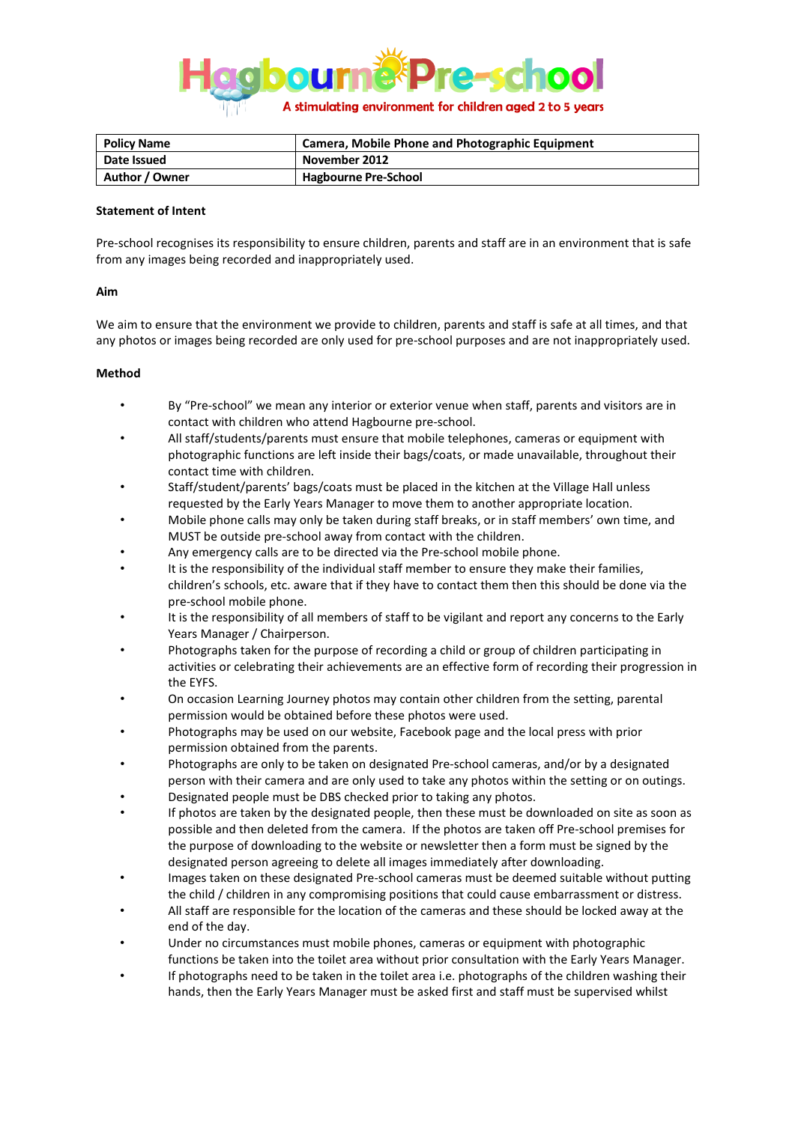

| <b>Policy Name</b> | <b>Camera, Mobile Phone and Photographic Equipment</b> |  |  |
|--------------------|--------------------------------------------------------|--|--|
| Date Issued        | November 2012                                          |  |  |
| Author / Owner     | <b>Hagbourne Pre-School</b>                            |  |  |

## **Statement of Intent**

Pre-school recognises its responsibility to ensure children, parents and staff are in an environment that is safe from any images being recorded and inappropriately used.

## **Aim**

We aim to ensure that the environment we provide to children, parents and staff is safe at all times, and that any photos or images being recorded are only used for pre-school purposes and are not inappropriately used.

## **Method**

- By "Pre-school" we mean any interior or exterior venue when staff, parents and visitors are in contact with children who attend Hagbourne pre-school.
- All staff/students/parents must ensure that mobile telephones, cameras or equipment with photographic functions are left inside their bags/coats, or made unavailable, throughout their contact time with children.
- Staff/student/parents' bags/coats must be placed in the kitchen at the Village Hall unless requested by the Early Years Manager to move them to another appropriate location.
- Mobile phone calls may only be taken during staff breaks, or in staff members' own time, and MUST be outside pre-school away from contact with the children.
- Any emergency calls are to be directed via the Pre-school mobile phone.
- It is the responsibility of the individual staff member to ensure they make their families, children's schools, etc. aware that if they have to contact them then this should be done via the pre-school mobile phone.
- It is the responsibility of all members of staff to be vigilant and report any concerns to the Early Years Manager / Chairperson.
- Photographs taken for the purpose of recording a child or group of children participating in activities or celebrating their achievements are an effective form of recording their progression in the EYFS.
- On occasion Learning Journey photos may contain other children from the setting, parental permission would be obtained before these photos were used.
- Photographs may be used on our website, Facebook page and the local press with prior permission obtained from the parents.
- Photographs are only to be taken on designated Pre-school cameras, and/or by a designated person with their camera and are only used to take any photos within the setting or on outings.
- Designated people must be DBS checked prior to taking any photos.
- If photos are taken by the designated people, then these must be downloaded on site as soon as possible and then deleted from the camera. If the photos are taken off Pre-school premises for the purpose of downloading to the website or newsletter then a form must be signed by the designated person agreeing to delete all images immediately after downloading.
- Images taken on these designated Pre-school cameras must be deemed suitable without putting the child / children in any compromising positions that could cause embarrassment or distress.
- All staff are responsible for the location of the cameras and these should be locked away at the end of the day.
- Under no circumstances must mobile phones, cameras or equipment with photographic functions be taken into the toilet area without prior consultation with the Early Years Manager.
- If photographs need to be taken in the toilet area i.e. photographs of the children washing their hands, then the Early Years Manager must be asked first and staff must be supervised whilst